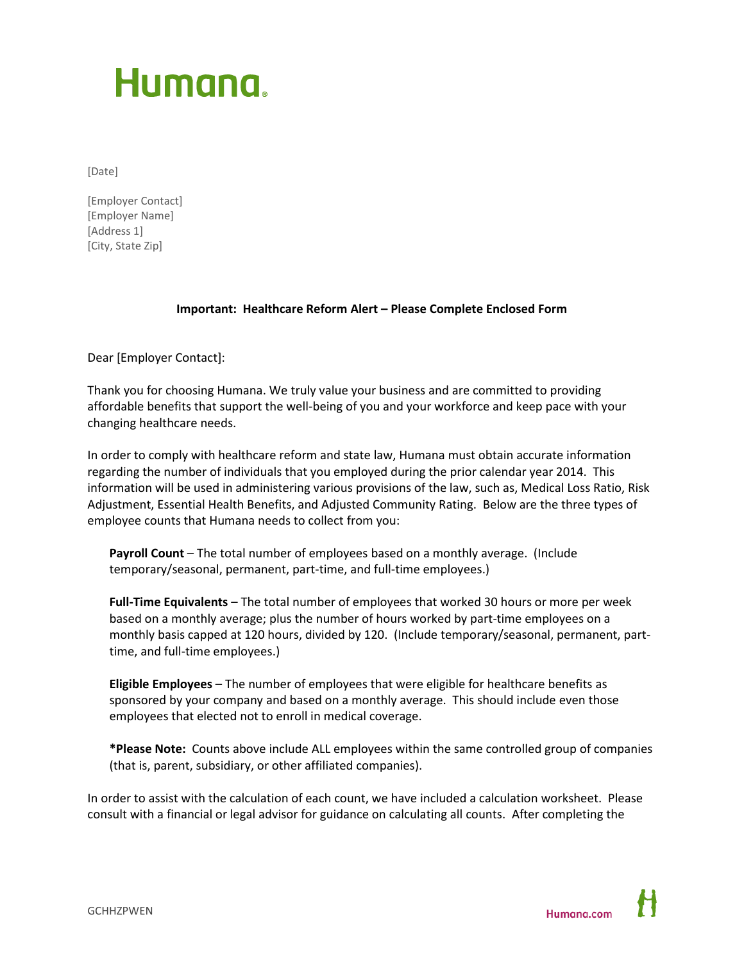# Humana.

[Date]

[Employer Contact] [Employer Name] [Address 1] [City, State Zip]

## **Important: Healthcare Reform Alert – Please Complete Enclosed Form**

Dear [Employer Contact]:

Thank you for choosing Humana. We truly value your business and are committed to providing affordable benefits that support the well-being of you and your workforce and keep pace with your changing healthcare needs.

In order to comply with healthcare reform and state law, Humana must obtain accurate information regarding the number of individuals that you employed during the prior calendar year 2014. This information will be used in administering various provisions of the law, such as, Medical Loss Ratio, Risk Adjustment, Essential Health Benefits, and Adjusted Community Rating. Below are the three types of employee counts that Humana needs to collect from you:

**Payroll Count** – The total number of employees based on a monthly average. (Include temporary/seasonal, permanent, part-time, and full-time employees.)

**Full-Time Equivalents** – The total number of employees that worked 30 hours or more per week based on a monthly average; plus the number of hours worked by part-time employees on a monthly basis capped at 120 hours, divided by 120. (Include temporary/seasonal, permanent, parttime, and full-time employees.)

**Eligible Employees** – The number of employees that were eligible for healthcare benefits as sponsored by your company and based on a monthly average. This should include even those employees that elected not to enroll in medical coverage.

**\*Please Note:** Counts above include ALL employees within the same controlled group of companies (that is, parent, subsidiary, or other affiliated companies).

In order to assist with the calculation of each count, we have included a calculation worksheet. Please consult with a financial or legal advisor for guidance on calculating all counts. After completing the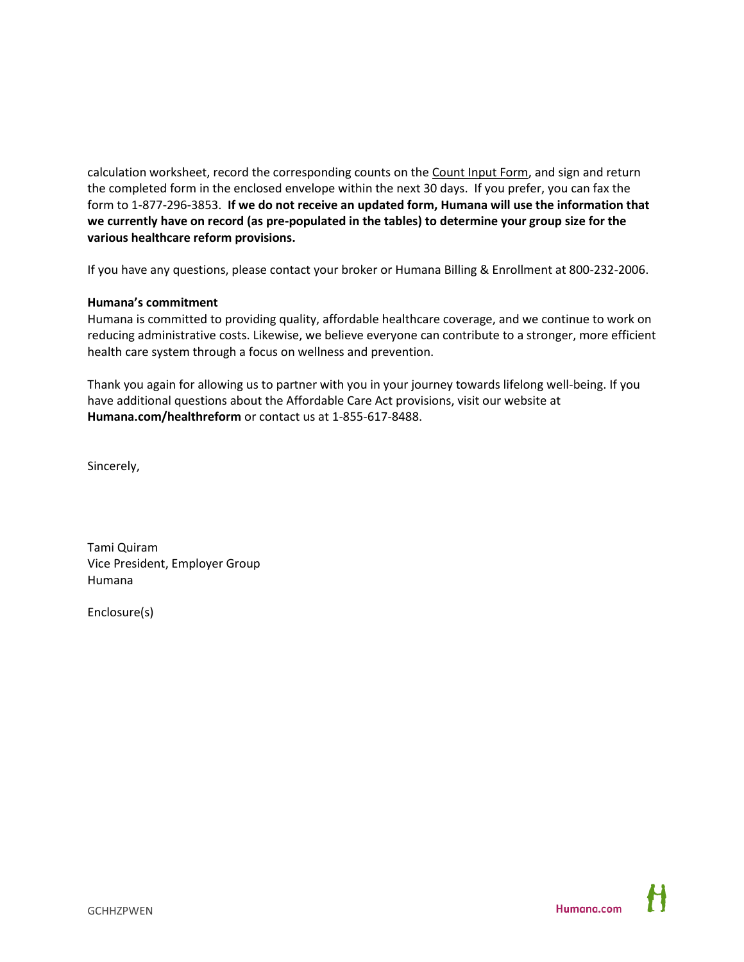calculation worksheet, record the corresponding counts on the Count Input Form, and sign and return the completed form in the enclosed envelope within the next 30 days. If you prefer, you can fax the form to 1-877-296-3853. **If we do not receive an updated form, Humana will use the information that we currently have on record (as pre-populated in the tables) to determine your group size for the various healthcare reform provisions.**

If you have any questions, please contact your broker or Humana Billing & Enrollment at 800-232-2006.

### **Humana's commitment**

Humana is committed to providing quality, affordable healthcare coverage, and we continue to work on reducing administrative costs. Likewise, we believe everyone can contribute to a stronger, more efficient health care system through a focus on wellness and prevention.

Thank you again for allowing us to partner with you in your journey towards lifelong well-being. If you have additional questions about the Affordable Care Act provisions, visit our website at **Humana.com/healthreform** or contact us at 1-855-617-8488.

Sincerely,

Tami Quiram Vice President, Employer Group Humana

Enclosure(s)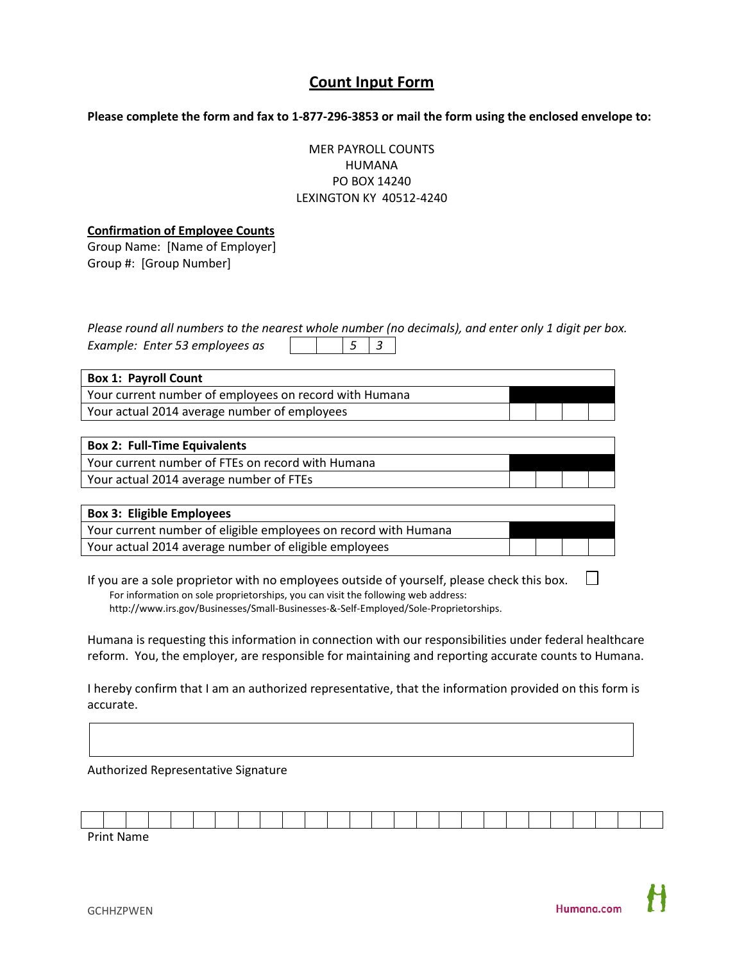## **Count Input Form**

**Please complete the form and fax to 1-877-296-3853 or mail the form using the enclosed envelope to:**

MER PAYROLL COUNTS HUMANA PO BOX 14240 LEXINGTON KY 40512-4240

#### **Confirmation of Employee Counts**

Group Name: [Name of Employer] Group #: [Group Number]

*Please round all numbers to the nearest whole number (no decimals), and enter only 1 digit per box. Example: Enter 53 employees as 5 3*

| <b>Box 1: Payroll Count</b>                            |  |  |  |  |  |  |  |  |  |  |  |  |
|--------------------------------------------------------|--|--|--|--|--|--|--|--|--|--|--|--|
| Your current number of employees on record with Humana |  |  |  |  |  |  |  |  |  |  |  |  |
| Your actual 2014 average number of employees           |  |  |  |  |  |  |  |  |  |  |  |  |

| <b>Box 2: Full-Time Equivalents</b>               |  |  |
|---------------------------------------------------|--|--|
| Your current number of FTEs on record with Humana |  |  |
| Your actual 2014 average number of FTEs           |  |  |

| <b>Box 3: Eligible Employees</b>                                |  |  |
|-----------------------------------------------------------------|--|--|
| Your current number of eligible employees on record with Humana |  |  |
| Your actual 2014 average number of eligible employees           |  |  |

 $\Box$ If you are a sole proprietor with no employees outside of yourself, please check this box. For information on sole proprietorships, you can visit the following web address: [http://www.irs.gov/Businesses/Small-Businesses-&-Self-Employed/Sole-Proprietorships.](http://www.irs.gov/Businesses/Small-Businesses-&-Self-Employed/Sole-Proprietorships)

Humana is requesting this information in connection with our responsibilities under federal healthcare reform. You, the employer, are responsible for maintaining and reporting accurate counts to Humana.

I hereby confirm that I am an authorized representative, that the information provided on this form is accurate.

Authorized Representative Signature

| . <b>.</b> |  |  |  |  |  |  |  |  |  |  |  |  |  |
|------------|--|--|--|--|--|--|--|--|--|--|--|--|--|